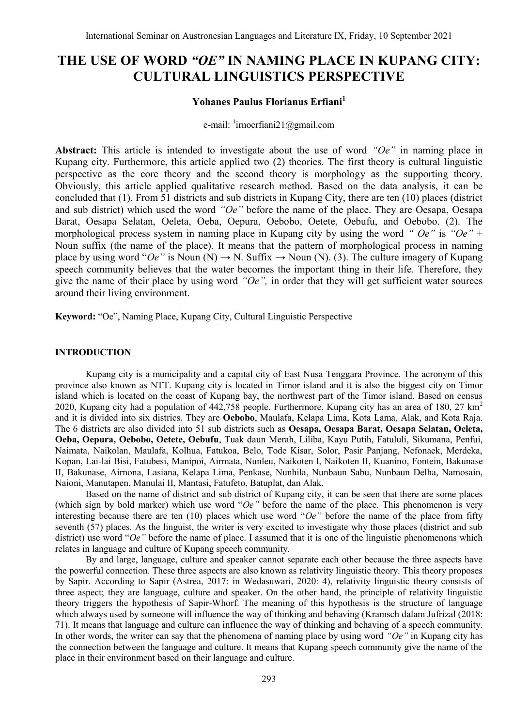# **THE USE OF WORD** *"OE"* **IN NAMING PLACE IN KUPANG CITY: CULTURAL LINGUISTICS PERSPECTIVE**

# **Yohanes Paulus Florianus Erfiani<sup>1</sup>**

e-mail: <sup>1</sup>[irnoerfiani21@gmail.com](mailto:irnoerfiani21@gmail.com)

**Abstract:** This article is intended to investigate about the use of word *"Oe"* in naming place in Kupang city. Furthermore, this article applied two (2) theories. The first theory is cultural linguistic perspective as the core theory and the second theory is morphology as the supporting theory. Obviously, this article applied qualitative research method. Based on the data analysis, it can be concluded that (1). From 51 districts and sub districts in Kupang City, there are ten (10) places (district and sub district) which used the word *"Oe"* before the name of the place. They are Oesapa, Oesapa Barat, Oesapa Selatan, Oeleta, Oeba, Oepura, Oebobo, Oetete, Oebufu, and Oebobo. (2). The morphological process system in naming place in Kupang city by using the word *" Oe"* is *"Oe"* + Noun suffix (the name of the place). It means that the pattern of morphological process in naming place by using word " $Oe$ " is Noun (N)  $\rightarrow$  N. Suffix  $\rightarrow$  Noun (N). (3). The culture imagery of Kupang speech community believes that the water becomes the important thing in their life. Therefore, they give the name of their place by using word *"Oe",* in order that they will get sufficient water sources around their living environment.

**Keyword:** "Oe", Naming Place, Kupang City, Cultural Linguistic Perspective

## **INTRODUCTION**

Kupang city is a municipality and a capital city of East Nusa Tenggara Province. The acronym of this province also known as NTT. Kupang city is located in Timor island and it is also the biggest city on Timor island which is located on the coast of Kupang bay, the northwest part of the Timor island. Based on census 2020, Kupang city had a population of  $442,758$  people. Furthermore, Kupang city has an area of 180, 27 km<sup>2</sup> and it is divided into six districs. They are **Oebobo**, Maulafa, Kelapa Lima, Kota Lama, Alak, and Kota Raja. The 6 districts are also divided into 51 sub districts such as **Oesapa, Oesapa Barat, Oesapa Selatan, Oeleta, Oeba, Oepura, Oebobo, Oetete, Oebufu**, Tuak daun Merah, Liliba, Kayu Putih, Fatululi, Sikumana, Penfui, Naimata, Naikolan, Maulafa, Kolhua, Fatukoa, Belo, Tode Kisar, Solor, Pasir Panjang, Nefonaek, Merdeka, Kopan, Lai-lai Bisi, Fatubesi, Manipoi, Airmata, Nunleu, Naikoten I, Naikoten II, Kuanino, Fontein, Bakunase II, Bakunase, Airnona, Lasiana, Kelapa Lima, Penkase, Nunhila, Nunbaun Sabu, Nunbaun Delha, Namosain, Naioni, Manutapen, Manulai II, Mantasi, Fatufeto, Batuplat, dan Alak.

Based on the name of district and sub district of Kupang city, it can be seen that there are some places (which sign by bold marker) which use word " $Oe$ " before the name of the place. This phenomenon is very interesting because there are ten (10) places which use word "*Oe"* before the name of the place from fifty seventh (57) places. As the linguist, the writer is very excited to investigate why those places (district and sub district) use word "*Oe*" before the name of place. I assumed that it is one of the linguistic phenomenons which relates in language and culture of Kupang speech community.

By and large, language, culture and speaker cannot separate each other because the three aspects have the powerful connection. These three aspects are also known as relativity linguistic theory. This theory proposes by Sapir. According to Sapir (Astrea, 2017: in Wedasuwari, 2020: 4), relativity linguistic theory consists of three aspect; they are language, culture and speaker. On the other hand, the principle of relativity linguistic theory triggers the hypothesis of Sapir-Whorf. The meaning of this hypothesis is the structure of language which always used by someone will influence the way of thinking and behaving (Kramsch dalam Jufrizal (2018: 71). It means that language and culture can influence the way of thinking and behaving of a speech community. In other words, the writer can say that the phenomena of naming place by using word *"Oe"* in Kupang city has the connection between the language and culture. It means that Kupang speech community give the name of the place in their environment based on their language and culture.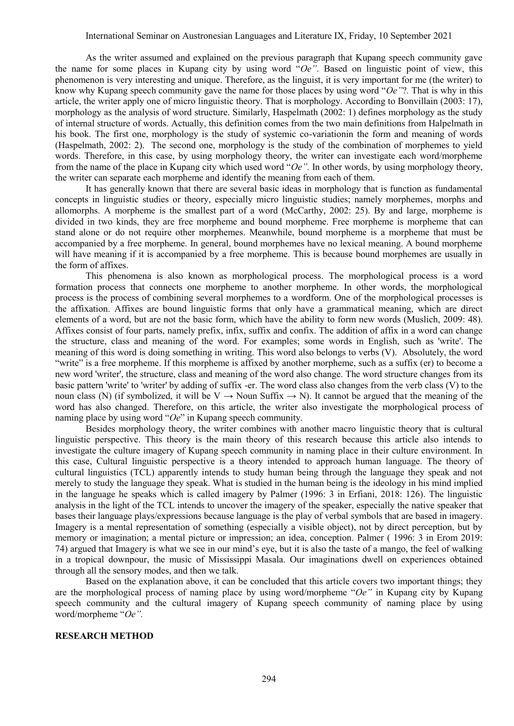As the writer assumed and explained on the previous paragraph that Kupang speech community gave the name for some places in Kupang city by using word "*Oe"*. Based on linguistic point of view, this phenomenon is very interesting and unique. Therefore, as the linguist, it is very important for me (the writer) to know why Kupang speech community gave the name for those places by using word "*Oe"*?*.* That is why in this article, the writer apply one of micro linguistic theory. That is morphology. According to Bonvillain (2003: 17), morphology as the analysis of word structure. Similarly, Haspelmath (2002: 1) defines morphology as the study of internal structure of words. Actually, this definition comes from the two main definitions from Halpelmath in his book. The first one, morphology is the study of systemic co-variationin the form and meaning of words (Haspelmath, 2002: 2). The second one, morphology is the study of the combination of morphemes to yield words. Therefore, in this case, by using morphology theory, the writer can investigate each word/morpheme from the name of the place in Kupang city which used word "*Oe".* In other words, by using morphology theory, the writer can separate each morpheme and identify the meaning from each of them.

It has generally known that there are several basic ideas in morphology that is function as fundamental concepts in linguistic studies or theory, especially micro linguistic studies; namely morphemes, morphs and allomorphs. A morpheme is the smallest part of a word (McCarthy, 2002: 25). By and large, morpheme is divided in two kinds, they are free morpheme and bound morpheme. Free morpheme is morpheme that can stand alone or do not require other morphemes. Meanwhile, bound morpheme is a morpheme that must be accompanied by a free morpheme. In general, bound morphemes have no lexical meaning. A bound morpheme will have meaning if it is accompanied by a free morpheme. This is because bound morphemes are usually in the form of affixes.

This phenomena is also known as morphological process. The morphological process is a word formation process that connects one morpheme to another morpheme. In other words, the morphological process is the process of combining several morphemes to a wordform. One of the morphological processes is the affixation. Affixes are bound linguistic forms that only have a grammatical meaning, which are direct elements of a word, but are not the basic form, which have the ability to form new words (Muslich, 2009: 48). Affixes consist of four parts, namely prefix, infix, suffix and confix. The addition of affix in a word can change the structure, class and meaning of the word. For examples; some words in English, such as 'write'. The meaning of this word is doing something in writing. This word also belongs to verbs (V). Absolutely, the word "write" is a free morpheme. If this morpheme is affixed by another morpheme, such as a suffix (er) to become a new word 'writer', the structure, class and meaning of the word also change. The word structure changes from its basic pattern 'write' to 'writer' by adding of suffix -er. The word class also changes from the verb class (V) to the noun class (N) (if symbolized, it will be V  $\rightarrow$  Noun Suffix  $\rightarrow$  N). It cannot be argued that the meaning of the word has also changed. Therefore, on this article, the writer also investigate the morphological process of naming place by using word "*Oe*" in Kupang speech community.

Besides morphology theory, the writer combines with another macro linguistic theory that is cultural linguistic perspective. This theory is the main theory of this research because this article also intends to investigate the culture imagery of Kupang speech community in naming place in their culture environment. In this case, Cultural linguistic perspective is a theory intended to approach human language. The theory of cultural linguistics (TCL) apparently intends to study human being through the language they speak and not merely to study the language they speak. What is studied in the human being is the ideology in his mind implied in the language he speaks which is called imagery by Palmer (1996: 3 in Erfiani, 2018: 126). The linguistic analysis in the light of the TCL intends to uncover the imagery of the speaker, especially the native speaker that bases their language plays/expressions because language is the play of verbal symbols that are based in imagery. Imagery is a mental representation of something (especially a visible object), not by direct perception, but by memory or imagination; a mental picture or impression; an idea, conception. Palmer ( 1996: 3 in Erom 2019: 74) argued that Imagery is what we see in our mind's eye, but it is also the taste of a mango, the feel of walking in a tropical downpour, the music of Mississippi Masala. Our imaginations dwell on experiences obtained through all the sensory modes, and then we talk.

Based on the explanation above, it can be concluded that this article covers two important things; they are the morphological process of naming place by using word/morpheme "*Oe"* in Kupang city by Kupang speech community and the cultural imagery of Kupang speech community of naming place by using word/morpheme "*Oe".* 

#### **RESEARCH METHOD**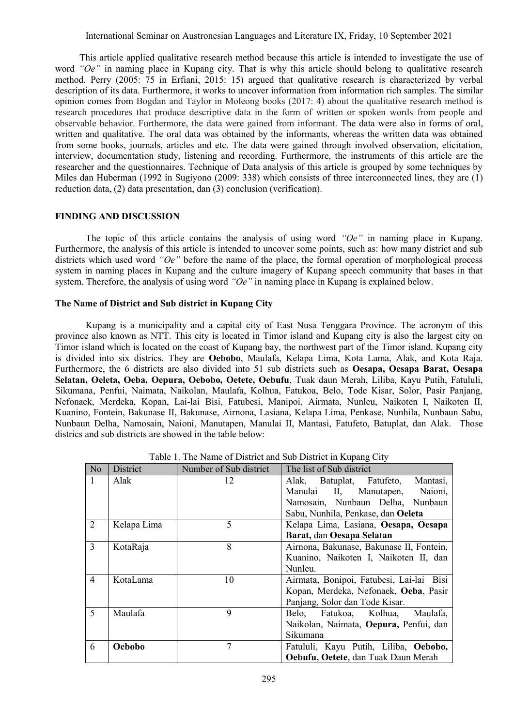This article applied qualitative research method because this article is intended to investigate the use of word *"Oe"* in naming place in Kupang city. That is why this article should belong to qualitative research method. Perry (2005: 75 in Erfiani, 2015: 15) argued that qualitative research is characterized by verbal description of its data. Furthermore, it works to uncover information from information rich samples. The similar opinion comes from Bogdan and Taylor in Moleong books (2017: 4) about the qualitative research method is research procedures that produce descriptive data in the form of written or spoken words from people and observable behavior. Furthermore, the data were gained from informant. The data were also in forms of oral, written and qualitative. The oral data was obtained by the informants, whereas the written data was obtained from some books, journals, articles and etc. The data were gained through involved observation, elicitation, interview, documentation study, listening and recording. Furthermore, the instruments of this article are the researcher and the questionnaires. Technique of Data analysis of this article is grouped by some techniques by Miles dan Huberman (1992 in Sugiyono (2009: 338) which consists of three interconnected lines, they are (1) reduction data, (2) data presentation, dan (3) conclusion (verification).

### **FINDING AND DISCUSSION**

The topic of this article contains the analysis of using word *"Oe"* in naming place in Kupang. Furthermore, the analysis of this article is intended to uncover some points, such as: how many district and sub districts which used word *"Oe"* before the name of the place, the formal operation of morphological process system in naming places in Kupang and the culture imagery of Kupang speech community that bases in that system. Therefore, the analysis of using word *"Oe"* in naming place in Kupang is explained below.

#### **The Name of District and Sub district in Kupang City**

Kupang is a municipality and a capital city of East Nusa Tenggara Province. The acronym of this province also known as NTT. This city is located in Timor island and Kupang city is also the largest city on Timor island which is located on the coast of Kupang bay, the northwest part of the Timor island. Kupang city is divided into six districs. They are **Oebobo**, Maulafa, Kelapa Lima, Kota Lama, Alak, and Kota Raja. Furthermore, the 6 districts are also divided into 51 sub districts such as **Oesapa, Oesapa Barat, Oesapa Selatan, Oeleta, Oeba, Oepura, Oebobo, Oetete, Oebufu**, Tuak daun Merah, Liliba, Kayu Putih, Fatululi, Sikumana, Penfui, Naimata, Naikolan, Maulafa, Kolhua, Fatukoa, Belo, Tode Kisar, Solor, Pasir Panjang, Nefonaek, Merdeka, Kopan, Lai-lai Bisi, Fatubesi, Manipoi, Airmata, Nunleu, Naikoten I, Naikoten II, Kuanino, Fontein, Bakunase II, Bakunase, Airnona, Lasiana, Kelapa Lima, Penkase, Nunhila, Nunbaun Sabu, Nunbaun Delha, Namosain, Naioni, Manutapen, Manulai II, Mantasi, Fatufeto, Batuplat, dan Alak. Those districs and sub districts are showed in the table below:

| N <sub>o</sub> | District      | Number of Sub district | The list of Sub district                 |
|----------------|---------------|------------------------|------------------------------------------|
| $\mathbf{1}$   | Alak          | 12                     | Alak, Batuplat, Fatufeto,<br>Mantasi,    |
|                |               |                        | Manulai II, Manutapen, Naioni,           |
|                |               |                        | Namosain, Nunbaun Delha, Nunbaun         |
|                |               |                        | Sabu, Nunhila, Penkase, dan Oeleta       |
| 2              | Kelapa Lima   | 5                      | Kelapa Lima, Lasiana, Oesapa, Oesapa     |
|                |               |                        | Barat, dan Oesapa Selatan                |
| 3              | KotaRaja      | 8                      | Airnona, Bakunase, Bakunase II, Fontein, |
|                |               |                        | Kuanino, Naikoten I, Naikoten II, dan    |
|                |               |                        | Nunleu.                                  |
| 4              | KotaLama      | 10                     | Airmata, Bonipoi, Fatubesi, Lai-lai Bisi |
|                |               |                        | Kopan, Merdeka, Nefonaek, Oeba, Pasir    |
|                |               |                        | Panjang, Solor dan Tode Kisar.           |
| 5              | Maulafa       | 9                      | Fatukoa, Kolhua,<br>Belo,<br>Maulafa.    |
|                |               |                        | Naikolan, Naimata, Oepura, Penfui, dan   |
|                |               |                        | Sikumana                                 |
| 6              | <b>Oebobo</b> | 7                      | Fatululi, Kayu Putih, Liliba, Oebobo,    |
|                |               |                        | Oebufu, Oetete, dan Tuak Daun Merah      |

Table 1. The Name of District and Sub District in Kupang City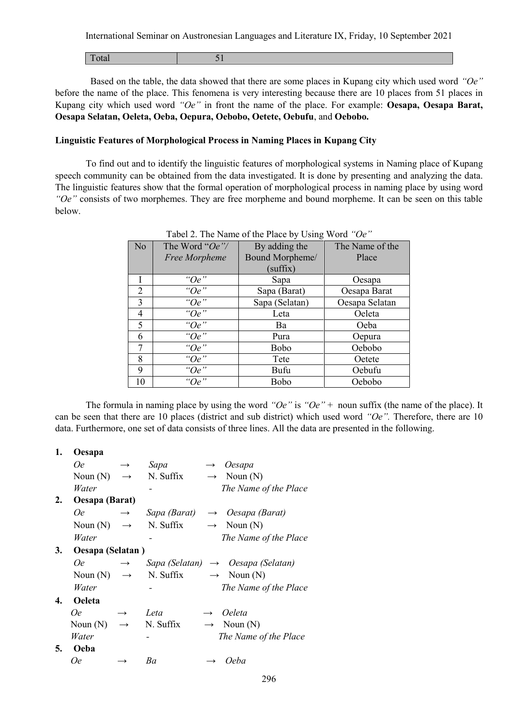| <b>1000</b><br>1 vuu<br>$\sim$<br>_ |
|-------------------------------------|
|-------------------------------------|

 Based on the table, the data showed that there are some places in Kupang city which used word *"Oe"* before the name of the place. This fenomena is very interesting because there are 10 places from 51 places in Kupang city which used word *"Oe"* in front the name of the place. For example: **Oesapa, Oesapa Barat, Oesapa Selatan, Oeleta, Oeba, Oepura, Oebobo, Oetete, Oebufu**, and **Oebobo.**

# **Linguistic Features of Morphological Process in Naming Places in Kupang City**

To find out and to identify the linguistic features of morphological systems in Naming place of Kupang speech community can be obtained from the data investigated. It is done by presenting and analyzing the data. The linguistic features show that the formal operation of morphological process in naming place by using word *"Oe"* consists of two morphemes. They are free morpheme and bound morpheme. It can be seen on this table below.

| N <sub>o</sub> | The Word " $Oe$ "/ | By adding the   | The Name of the |
|----------------|--------------------|-----------------|-----------------|
|                | Free Morpheme      | Bound Morpheme/ | Place           |
|                |                    | (suffix)        |                 |
|                | " $Oe$ "           | Sapa            | Oesapa          |
| 2              | " $Oe$ "           | Sapa (Barat)    | Oesapa Barat    |
| 3              | " $Oe$ "           | Sapa (Selatan)  | Oesapa Selatan  |
| 4              | " $Oe$ "           | Leta            | Oeleta          |
| 5              | " $Oe$ "           | Ba              | Oeba            |
| 6              | " $Oe$ "           | Pura            | Oepura          |
| 7              | " $Oe$ "           | Bobo            | Oebobo          |
| 8              | " $Oe$ "           | Tete            | Oetete          |
| 9              | " $Oe$ "           | Bufu            | Oebufu          |
| 10             | " $Oe$ "           | Bobo            | Oebobo          |

The formula in naming place by using the word *"Oe"* is *"Oe"* + noun suffix (the name of the place). It can be seen that there are 10 places (district and sub district) which used word *"Oe".* Therefore, there are 10 data. Furthermore, one set of data consists of three lines. All the data are presented in the following.

| 1. | Oesapa                 |                   |                                  |                   |                                               |
|----|------------------------|-------------------|----------------------------------|-------------------|-----------------------------------------------|
|    | 0e                     | $\longrightarrow$ | Sapa                             | $\longrightarrow$ | Oesapa                                        |
|    | Noun $(N)$             | $\longrightarrow$ | N. Suffix                        |                   | $\rightarrow$ Noun (N)                        |
|    | Water                  |                   |                                  |                   | The Name of the Place                         |
| 2. | Oesapa (Barat)         |                   |                                  |                   |                                               |
|    | 0e                     | $\rightarrow$     | Sapa (Barat)                     |                   | $\rightarrow$ Oesapa (Barat)                  |
|    | Noun (N) $\rightarrow$ |                   | N. Suffix                        |                   | $\rightarrow$ Noun (N)                        |
|    | Water                  |                   |                                  |                   | The Name of the Place                         |
| 3. | Oesapa (Selatan)       |                   |                                  |                   |                                               |
|    | 0e                     | $\rightarrow$     |                                  |                   | Sapa (Selatan) $\rightarrow$ Oesapa (Selatan) |
|    | Noun $(N) \rightarrow$ |                   | N. Suffix $\rightarrow$ Noun (N) |                   |                                               |
|    | Water                  |                   |                                  |                   | The Name of the Place                         |
| 4. | <b>Oeleta</b>          |                   |                                  |                   |                                               |
|    | 0e                     | $\rightarrow$     | Leta                             |                   | <i>Oeleta</i>                                 |
|    | Noun $(N)$             | $\longrightarrow$ | N. Suffix                        |                   | $\rightarrow$ Noun (N)                        |
|    | Water                  |                   |                                  |                   | The Name of the Place                         |
| 5. | Oeba                   |                   |                                  |                   |                                               |
|    | 0e                     |                   | Ba                               |                   | 0eba                                          |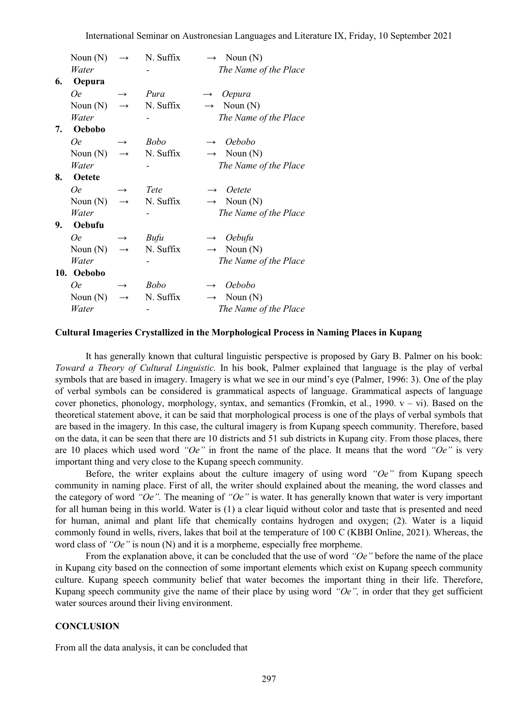|    | Noun $(N)$    | $\rightarrow$ | N. Suffix   | $\rightarrow$ Noun (N)          |
|----|---------------|---------------|-------------|---------------------------------|
|    | Water         |               |             | The Name of the Place           |
| 6. | Oepura        |               |             |                                 |
|    | <b>Oe</b>     | $\rightarrow$ | Pura        | Oepura<br>$\rightarrow$         |
|    | Noun $(N)$    | $\rightarrow$ | N. Suffix   | Noun $(N)$<br>$\longrightarrow$ |
|    | Water         |               |             | The Name of the Place           |
| 7. | Oebobo        |               |             |                                 |
|    | 0e            |               | <b>Bobo</b> | Oebobo                          |
|    | Noun $(N)$    | $\rightarrow$ | N. Suffix   | $\rightarrow$ Noun (N)          |
|    | Water         |               |             | The Name of the Place           |
| 8. | <b>Oetete</b> |               |             |                                 |
|    | 0e            |               | Tete        | <i><u>Oetete</u></i>            |
|    | Noun $(N)$    | $\rightarrow$ | N. Suffix   | Noun $(N)$<br>$\rightarrow$     |
|    | Water         |               |             | The Name of the Place           |
| 9. | Oebufu        |               |             |                                 |
|    | 0e            | $\rightarrow$ | Bufu        | $\rightarrow$ Oebufu            |
|    | Noun $(N)$    | $\rightarrow$ | N. Suffix   | $\rightarrow$ Noun (N)          |
|    | Water         |               |             | The Name of the Place           |
|    | 10. Oebobo    |               |             |                                 |
|    | 0e            |               | <b>Bobo</b> | <i>Oebobo</i>                   |
|    | Noun $(N)$    | $\rightarrow$ | N. Suffix   | $\rightarrow$ Noun (N)          |
|    | Water         |               |             | The Name of the Place           |

#### **Cultural Imageries Crystallized in the Morphological Process in Naming Places in Kupang**

It has generally known that cultural linguistic perspective is proposed by Gary B. Palmer on his book: *Toward a Theory of Cultural Linguistic.* In his book, Palmer explained that language is the play of verbal symbols that are based in imagery. Imagery is what we see in our mind's eye (Palmer, 1996: 3). One of the play of verbal symbols can be considered is grammatical aspects of language. Grammatical aspects of language cover phonetics, phonology, morphology, syntax, and semantics (Fromkin, et al., 1990.  $v - vi$ ). Based on the theoretical statement above, it can be said that morphological process is one of the plays of verbal symbols that are based in the imagery. In this case, the cultural imagery is from Kupang speech community. Therefore, based on the data, it can be seen that there are 10 districts and 51 sub districts in Kupang city. From those places, there are 10 places which used word *"Oe"* in front the name of the place. It means that the word *"Oe"* is very important thing and very close to the Kupang speech community.

Before, the writer explains about the culture imagery of using word *"Oe"* from Kupang speech community in naming place. First of all, the writer should explained about the meaning, the word classes and the category of word *"Oe".* The meaning of *"Oe"* is water. It has generally known that water is very important for all human being in this world. Water is (1) a clear liquid without color and taste that is presented and need for human, animal and plant life that chemically contains hydrogen and oxygen; (2). Water is a liquid commonly found in wells, rivers, lakes that boil at the temperature of 100 C (KBBI Online, 2021). Whereas, the word class of *"Oe"* is noun (N) and it is a morpheme, especially free morpheme.

From the explanation above, it can be concluded that the use of word *"Oe"* before the name of the place in Kupang city based on the connection of some important elements which exist on Kupang speech community culture. Kupang speech community belief that water becomes the important thing in their life. Therefore, Kupang speech community give the name of their place by using word *"Oe",* in order that they get sufficient water sources around their living environment.

### **CONCLUSION**

From all the data analysis, it can be concluded that